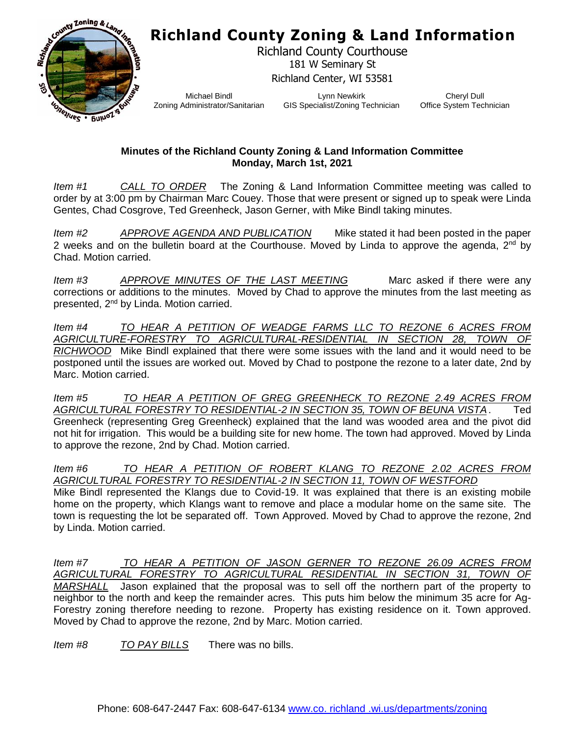## **Richland County Zoning & Land Information**



Richland County Courthouse 181 W Seminary St Richland Center, WI 53581

Michael Bindl Zoning Administrator/Sanitarian

Lynn Newkirk GIS Specialist/Zoning Technician

Cheryl Dull Office System Technician

## **Minutes of the Richland County Zoning & Land Information Committee Monday, March 1st, 2021**

*Item #1 CALL TO ORDER* The Zoning & Land Information Committee meeting was called to order by at 3:00 pm by Chairman Marc Couey. Those that were present or signed up to speak were Linda Gentes, Chad Cosgrove, Ted Greenheck, Jason Gerner, with Mike Bindl taking minutes.

*Item #2 APPROVE AGENDA AND PUBLICATION* Mike stated it had been posted in the paper 2 weeks and on the bulletin board at the Courthouse. Moved by Linda to approve the agenda,  $2^{nd}$  by Chad. Motion carried.

*Item #3 APPROVE MINUTES OF THE LAST MEETING* Marc asked if there were any corrections or additions to the minutes. Moved by Chad to approve the minutes from the last meeting as presented, 2nd by Linda. Motion carried.

*Item #4 TO HEAR A PETITION OF WEADGE FARMS LLC TO REZONE 6 ACRES FROM AGRICULTURE-FORESTRY TO AGRICULTURAL-RESIDENTIAL IN SECTION 28, TOWN OF RICHWOOD* Mike Bindl explained that there were some issues with the land and it would need to be postponed until the issues are worked out. Moved by Chad to postpone the rezone to a later date, 2nd by Marc. Motion carried.

*Item #5 TO HEAR A PETITION OF GREG GREENHECK TO REZONE 2.49 ACRES FROM AGRICULTURAL FORESTRY TO RESIDENTIAL-2 IN SECTION 35, TOWN OF BEUNA VISTA*. Ted Greenheck (representing Greg Greenheck) explained that the land was wooded area and the pivot did not hit for irrigation. This would be a building site for new home. The town had approved. Moved by Linda to approve the rezone, 2nd by Chad. Motion carried.

*Item #6 TO HEAR A PETITION OF ROBERT KLANG TO REZONE 2.02 ACRES FROM AGRICULTURAL FORESTRY TO RESIDENTIAL-2 IN SECTION 11, TOWN OF WESTFORD* Mike Bindl represented the Klangs due to Covid-19. It was explained that there is an existing mobile home on the property, which Klangs want to remove and place a modular home on the same site. The town is requesting the lot be separated off. Town Approved. Moved by Chad to approve the rezone, 2nd by Linda. Motion carried.

*Item #7 TO HEAR A PETITION OF JASON GERNER TO REZONE 26.09 ACRES FROM AGRICULTURAL FORESTRY TO AGRICULTURAL RESIDENTIAL IN SECTION 31, TOWN OF MARSHALL* Jason explained that the proposal was to sell off the northern part of the property to neighbor to the north and keep the remainder acres. This puts him below the minimum 35 acre for Ag-Forestry zoning therefore needing to rezone. Property has existing residence on it. Town approved. Moved by Chad to approve the rezone, 2nd by Marc. Motion carried.

*Item #8 TO PAY BILLS* There was no bills.